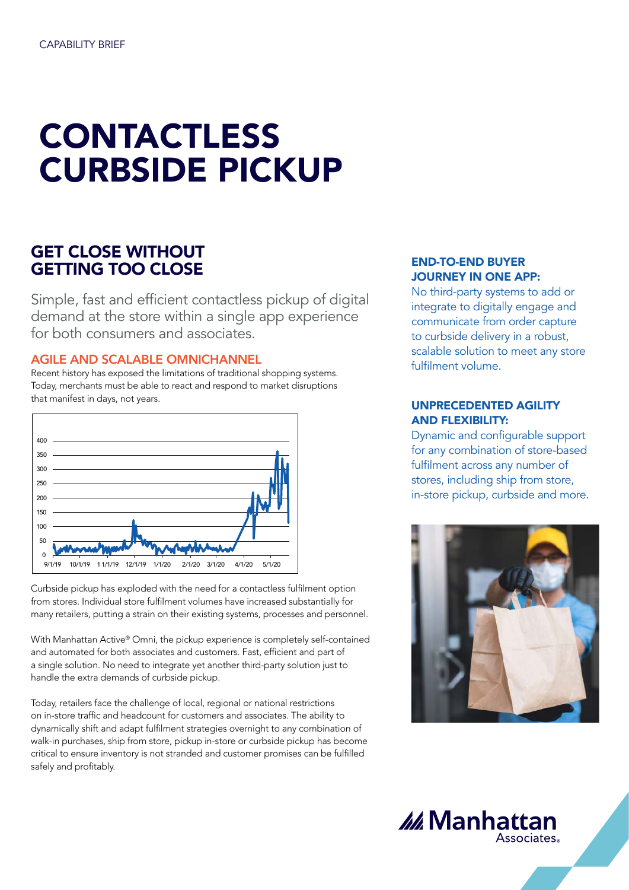# CONTACTLESS CURBSIDE PICKUP

# GET CLOSE WITHOUT GETTING TOO CLOSE

Simple, fast and efficient contactless pickup of digital demand at the store within a single app experience for both consumers and associates.

AGILE AND SCALABLE OMNICHANNEL

Recent history has exposed the limitations of traditional shopping systems. Today, merchants must be able to react and respond to market disruptions that manifest in days, not years.



Curbside pickup has exploded with the need for a contactless fulfilment option from stores. Individual store fulfilment volumes have increased substantially for many retailers, putting a strain on their existing systems, processes and personnel.

With Manhattan Active® Omni, the pickup experience is completely self-contained and automated for both associates and customers. Fast, efficient and part of a single solution. No need to integrate yet another third-party solution just to handle the extra demands of curbside pickup.

Today, retailers face the challenge of local, regional or national restrictions on in-store traffic and headcount for customers and associates. The ability to dynamically shift and adapt fulfilment strategies overnight to any combination of walk-in purchases, ship from store, pickup in-store or curbside pickup has become critical to ensure inventory is not stranded and customer promises can be fulfilled safely and profitably.

## END-TO-END BUYER JOURNEY IN ONE APP:

No third-party systems to add or integrate to digitally engage and communicate from order capture to curbside delivery in a robust, scalable solution to meet any store fulfilment volume.

# UNPRECEDENTED AGILITY AND FLEXIBILITY:

Dynamic and configurable support for any combination of store-based fulfilment across any number of stores, including ship from store, in-store pickup, curbside and more.